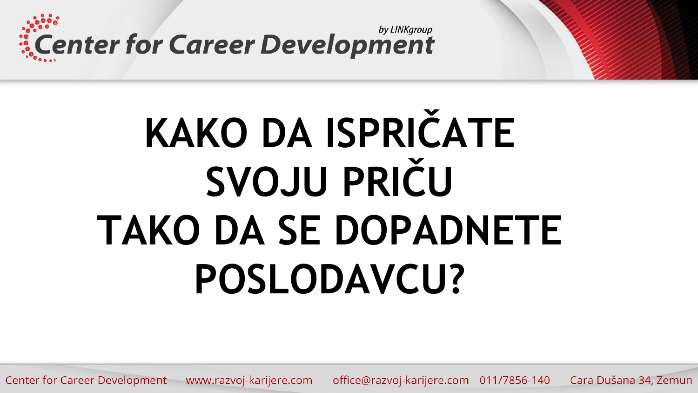Center for Career Development

# **KAKO DA ISPRIČATE SVOJU PRIČU TAKO DA SE DOPADNETE POSLODAVCU?**

Center for Career Development www.razvoj-karijere.com office@razvoj-karijere.com 011/7856-140 Cara Dušana 34, Zemun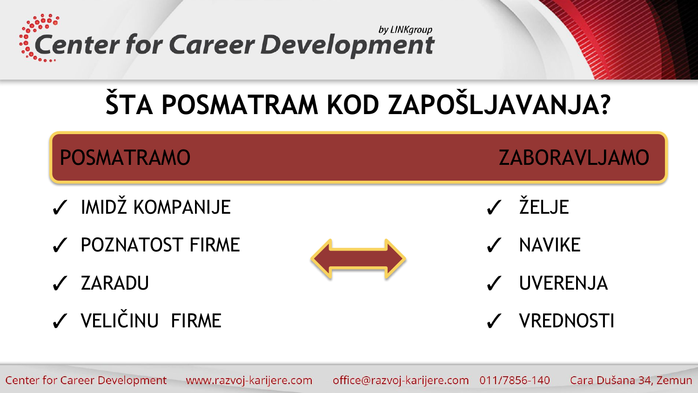by LINKgroup *ECenter for Career Development* 

### ŠTA POSMATRAM KOD ZAPOŠLJAVANJA?

**POSMATRAMO** 

- ✔ IMIDŽ KOMPANIJE
- V POZNATOST FIRME
- ✔ ZARADU
- V VELIČINU FIRME



√ ŽELJE

**ZABORAVLJAMO** 

- **NAVIKE**
- V UVERENJA
- **VREDNOSTI**

office@razvoj-karijere.com 011/7856-140 Center for Career Development www.razvoj-karijere.com Cara Dušana 34, Zemun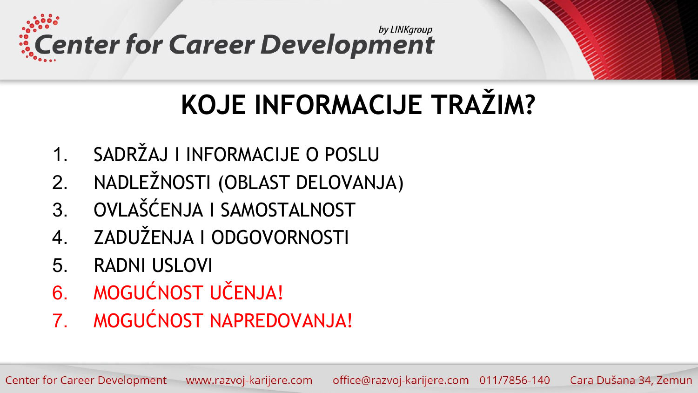

### **KOJE INFORMACIJE TRAŽIM?**

- 1. SADRŽAJ I INFORMACIJE O POSLU
- 2. NADLEŽNOSTI (OBLAST DELOVANJA)
- 3. OVLAŠĆENJA I SAMOSTALNOST
- 4. ZADUŽENJA I ODGOVORNOSTI
- 5. RADNI USLOVI
- 6. MOGUĆNOST UČENJA!
- 7. MOGUĆNOST NAPREDOVANJA!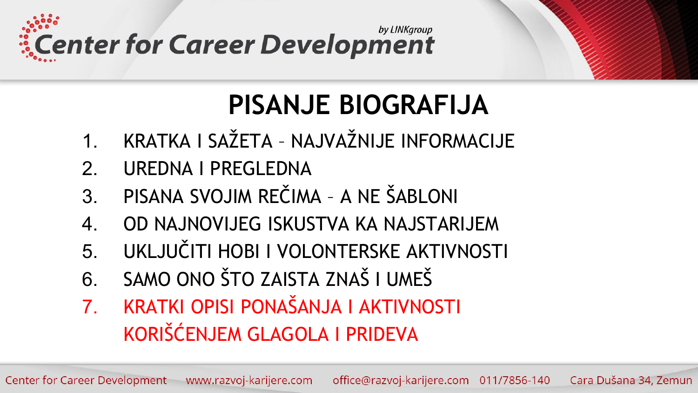



- 1. KRATKA I SAŽETA NAJVAŽNIJE INFORMACIJE
- 2. UREDNA I PREGLEDNA
- 3. PISANA SVOJIM REČIMA A NE ŠABLONI
- 4. OD NAJNOVIJEG ISKUSTVA KA NAJSTARIJEM
- 5. UKLJUČITI HOBI I VOLONTERSKE AKTIVNOSTI
- 6. SAMO ONO ŠTO ZAISTA ZNAŠ I UMEŠ
- 7. KRATKI OPISI PONAŠANJA I AKTIVNOSTI KORIŠĆENJEM GLAGOLA I PRIDEVA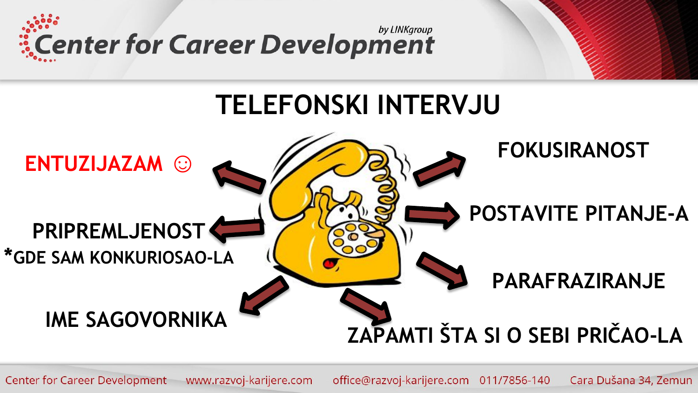

#### **TELEFONSKI INTERVJU**

#### **FOKUSIRANOST ENTUZIJAZAM**  $\mathbb{C}^{\prime}$ **POSTAVITE PITANJE-A PRIPREMLJENOST** \*GDE SAM KONKURIOSAO-LA PARAFRAZIRANJE IME SAGOVORNIKA ZAPAMTI ŠTA SI O SEBI PRIČAO-LA

**Center for Career Development** www.razvoj-karijere.com office@razvoj-karijere.com 011/7856-140 Cara Dušana 34, Zemun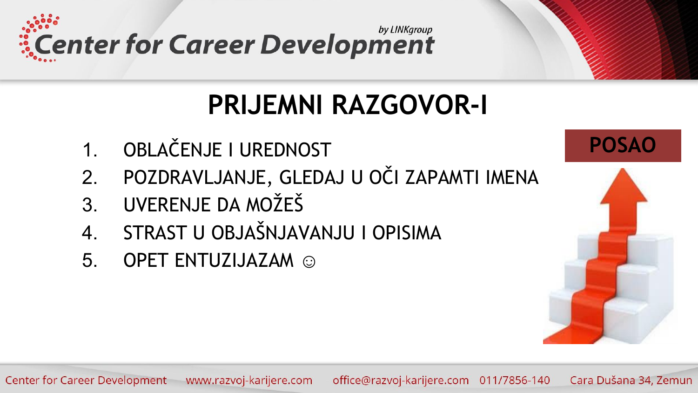

#### **PRIJEMNI RAZGOVOR-I**

- 1. OBLAČENJE I UREDNOST
- 2. POZDRAVLJANJE, GLEDAJ U OČI ZAPAMTI IMENA
- 3. UVERENJE DA MOŽEŠ
- 4. STRAST U OBJAŠNJAVANJU I OPISIMA
- 5. OPET ENTUZIJAZAM ©

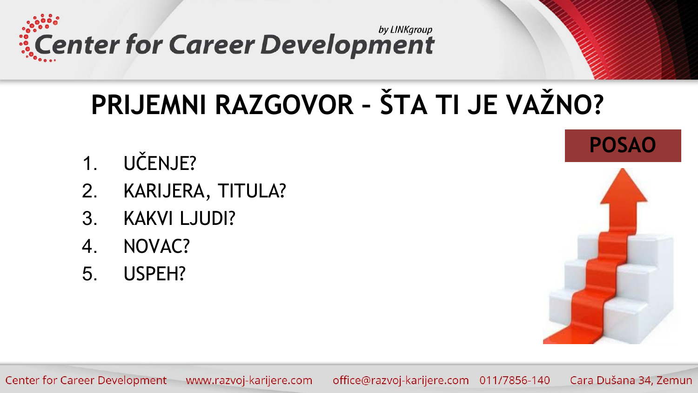by LINKgroup **Excenter for Career Development** 

## PRIJEMNI RAZGOVOR - ŠTA TI JE VAŽNO?

- UČENJE?  $1_{-}$
- KARIJERA, TITULA?  $2<sub>1</sub>$
- **KAKVI LJUDI?**  $3_{-}$
- $\overline{4}$ . NOVAC?
- USPEH? 5.

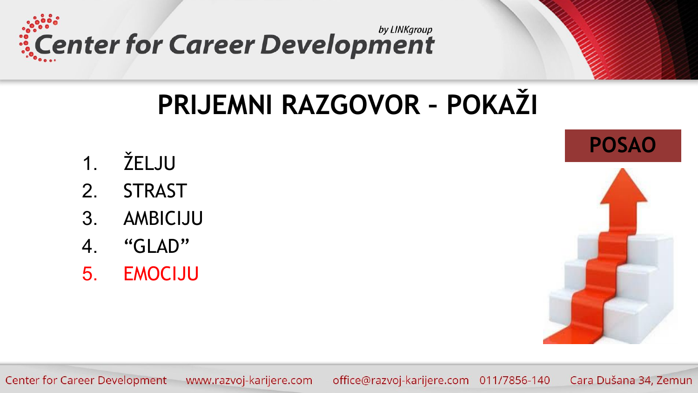

#### PRIJEMNI RAZGOVOR - POKAŽI

- ŽELJU  $\mathbf 1$ .
- $2<sup>1</sup>$ **STRAST**
- AMBICIJU  $3_{-}$
- $\overline{4}$ . "GLAD"
- **EMOCIJU** 5.



**Center for Career Development** www.razvoj-karijere.com office@razvoj-karijere.com 011/7856-140 Cara Dušana 34, Zemun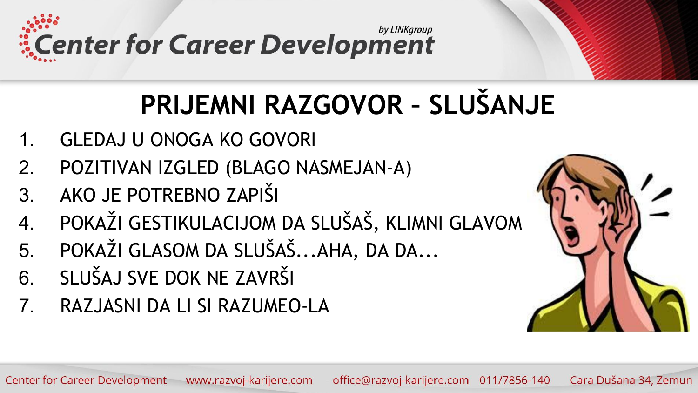by LINKgroup **ECENTER for Career Development** 

### PRIJEMNI RAZGOVOR - SLUŠANJE

- **GLEDAJ U ONOGA KO GOVORI**  $\mathbf 1$ .
- POZITIVAN IZGLED (BLAGO NASMEJAN-A)  $2.$
- AKO JE POTREBNO ZAPIŠI  $3.$
- POKAŽI GESTIKULACIJOM DA SLUŠAŠ, KLIMNI GLAVOM  $\overline{4}$ .
- POKAŽI GLASOM DA SLUŠAŠ...AHA, DA DA... 5.
- SLUŠAJ SVE DOK NE ZAVRŠI 6.
- $7<sub>1</sub>$ RAZJASNI DA LI SI RAZUMEO-LA

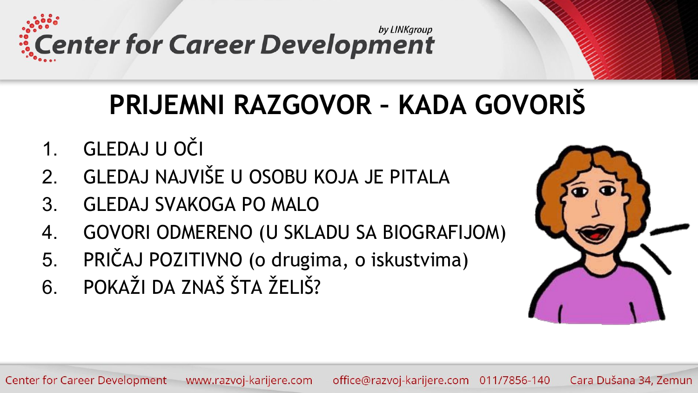by LINKgroup *ECENTER for Career Development* 

### **PRIJEMNI RAZGOVOR – KADA GOVORIŠ**

- 1. GLEDAJ U OČI
- 2. GLEDAJ NAJVIŠE U OSOBU KOJA JE PITALA
- 3. GLEDAJ SVAKOGA PO MALO
- 4. GOVORI ODMERENO (U SKLADU SA BIOGRAFIJOM)
- 5. PRIČAJ POZITIVNO (o drugima, o iskustvima)
- 6. POKAŽI DA ZNAŠ ŠTA ŽELIŠ?

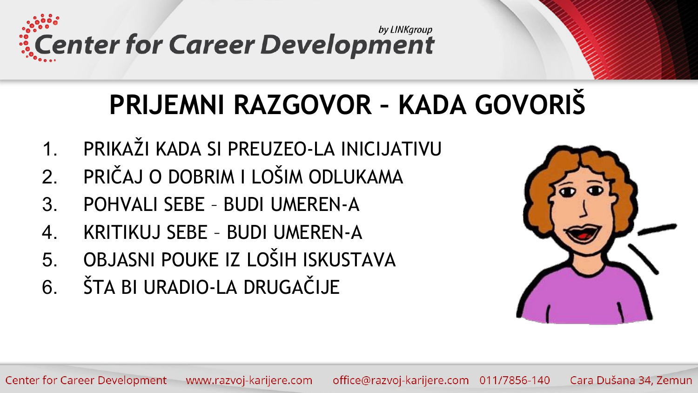by LINKgroup *ECenter for Career Development* 

### PRIJEMNI RAZGOVOR - KADA GOVORIŠ

- PRIKAŽI KADA SI PREUZEO-LA INICIJATIVU  $\mathbf 1$
- PRIČAJ O DOBRIM I LOŠIM ODLUKAMA  $\mathcal{P}$
- $3<sub>l</sub>$ POHVALL SFBF - BUDLUMFRFN-A
- KRITIKUJ SFBF BUDI UMFRFN-A  $\mathcal{A}_{-}$
- OBJASNI POUKE IZ LOŠIH ISKUSTAVA  $5<sub>1</sub>$
- ŠTA BI URADIO-LA DRUGAČIJE 6

| $\bar{\bm{x}}$ | $\ddot{\bullet}$ |
|----------------|------------------|
|                |                  |
|                |                  |
|                |                  |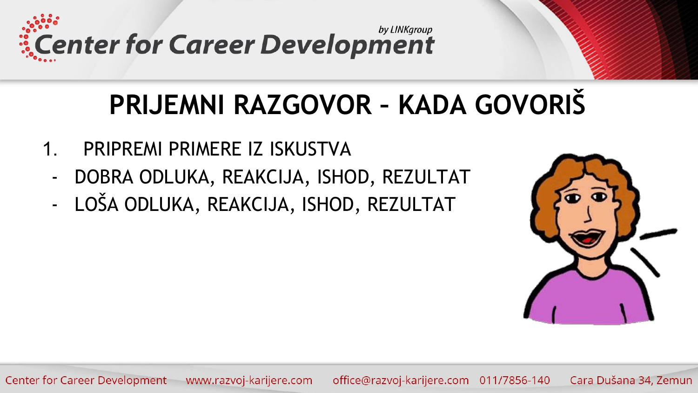by LINKgroup **Excenter for Career Development** 

### PRIJEMNI RAZGOVOR - KADA GOVORIŠ

- PRIPREMI PRIMERE IZ ISKUSTVA  $\mathbf 1$ 
	- DOBRA ODLUKA, REAKCIJA, ISHOD, REZULTAT  $\blacksquare$
	- LOŠA ODLUKA, REAKCIJA, ISHOD, REZULTAT  $\blacksquare$



**Center for Career Development** www.razvoj-karijere.com office@razvoj-karijere.com 011/7856-140 Cara Dušana 34, Zemun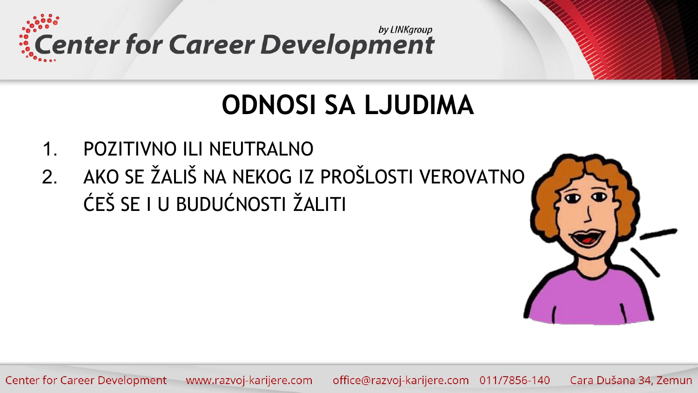

#### **ODNOSI SA LJUDIMA**

- POZITIVNO ILI NEUTRALNO  $\mathbf 1$ .
- 2. AKO SE ŽALIŠ NA NEKOG IZ PROŠLOSTI VEROVATNO ĆEŠ SE I U BUDUĆNOSTI ŽALITI



office@razvoj-karijere.com 011/7856-140 Cara Dušana 34, Zemun **Center for Career Development** www.razvoj-karijere.com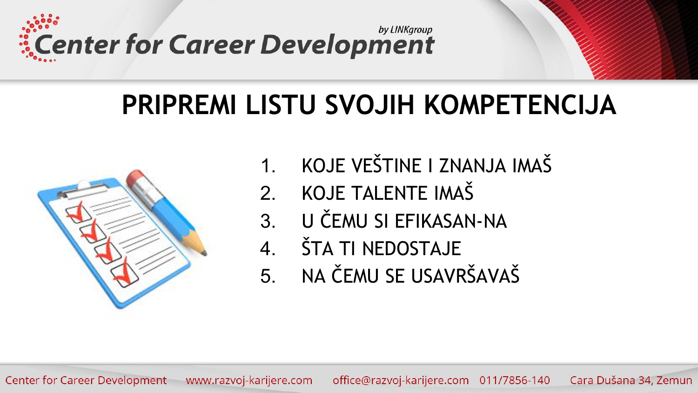

#### **PRIPREMI LISTU SVOJIH KOMPETENCIJA**



- 1. KOJE VEŠTINE I ZNANJA IMAŠ
- 2. KOJE TALENTE IMAŠ
- 3. U ČEMU SI EFIKASAN-NA
- 4. ŠTA TI NEDOSTAJE
- 5. NA ČEMU SE USAVRŠAVAŠ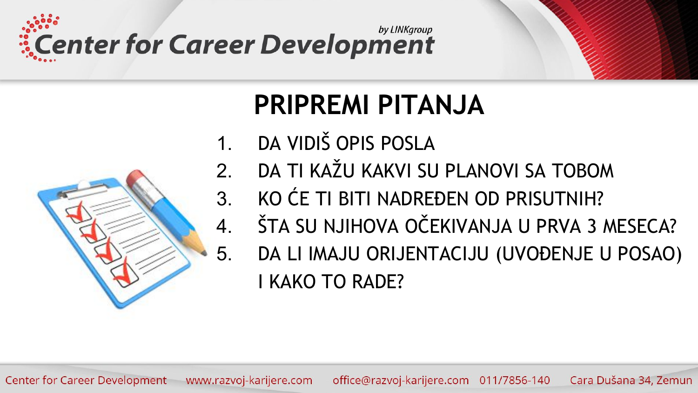

5.



### **PRIPREMI PITANJA**

- DA VIDIŠ OPIS POSLA  $\mathbf 1$
- DA TI KAŽU KAKVI SU PLANOVI SA TOBOM  $\mathcal{P}$
- KO ĆE TI BITI NADREĐEN OD PRISUTNIH?  $3<sub>l</sub>$
- ŠTA SU NJIHOVA OČEKIVANJA U PRVA 3 MESECA?  $\mathbf 4$ .
	- DA LI IMAJU ORIJENTACIJU (UVOĐENJE U POSAO) **I KAKO TO RADE?**